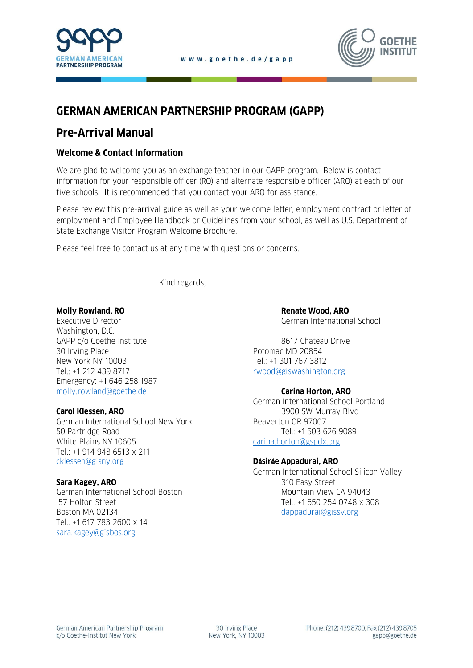



# **GERMAN AMERICAN PARTNERSHIP PROGRAM (GAPP)**

# **Pre-Arrival Manual**

# **Welcome & Contact Information**

We are glad to welcome you as an exchange teacher in our GAPP program. Below is contact information for your responsible officer (RO) and alternate responsible officer (ARO) at each of our five schools. It is recommended that you contact your ARO for assistance.

Please review this pre-arrival guide as well as your welcome letter, employment contract or letter of employment and Employee Handbook or Guidelines from your school, as well as U.S. Department of State Exchange Visitor Program Welcome Brochure.

Please feel free to contact us at any time with questions or concerns.

Kind regards,

Executive Director German International School Washington, D.C. GAPP c/o Goethe Institute 8617 Chateau Drive 30 Irving Place **Potomac MD** 20854 New York NY 10003 Tel.: +1 301 767 3812 Tel.: +1 212 439 8717 Tel.: +1 212 439 8717 Emergency: +1 646 258 1987 [molly.rowland@goethe.de](mailto:molly.rowland@goethe.de) **Carina Horton, ARO**

German International School New York **Beaverton OR 97007** 50 Partridge Road Tel.: +1 503 626 9089 White Plains NY 10605 [carina.horton@gspdx.org](mailto:carina.horton@gspdx.org) Tel.: +1 914 948 6513 x 211 [cklessen@gisny.org](mailto:cklessen@gisny.org) **D**é**sir**é**e Appadurai, ARO**

German International School Boston Mountain View CA 94043 Boston MA 02134 dappadurai@gissy.org Tel.: +1 617 783 2600 x 14 [sara.kagey@gisbos.org](mailto:sara.kagey@gisbos.org)

**Molly Rowland, RO Renate Wood, ARO** 

German International School Portland **Carol Klessen, ARO** 3900 SW Murray Blvd

German International School Silicon Valley **Sara Kagey, ARO** 310 Easy Street 57 Holton Street Tel.: +1 650 254 0748 x 308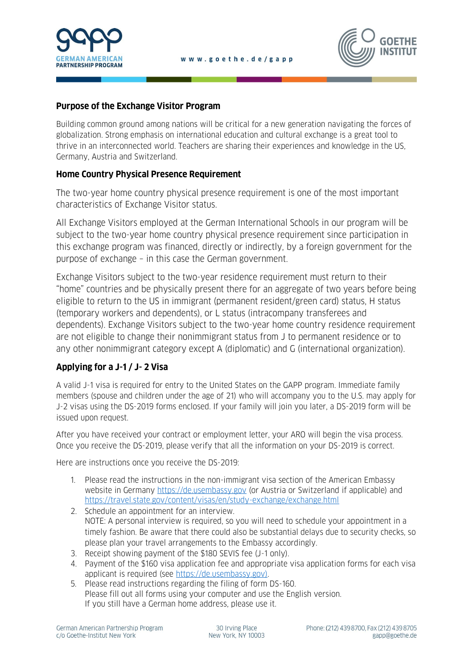



# **Purpose of the Exchange Visitor Program**

Building common ground among nations will be critical for a new generation navigating the forces of globalization. Strong emphasis on international education and cultural exchange is a great tool to thrive in an interconnected world. Teachers are sharing their experiences and knowledge in the US, Germany, Austria and Switzerland.

# **Home Country Physical Presence Requirement**

The two-year home country physical presence requirement is one of the most important characteristics of Exchange Visitor status.

All Exchange Visitors employed at the German International Schools in our program will be subject to the two-year home country physical presence requirement since participation in this exchange program was financed, directly or indirectly, by a foreign government for the purpose of exchange – in this case the German government.

Exchange Visitors subject to the two-year residence requirement must return to their "home" countries and be physically present there for an aggregate of two years before being eligible to return to the US in immigrant (permanent resident/green card) status, H status (temporary workers and dependents), or L status (intracompany transferees and dependents). Exchange Visitors subject to the two-year home country residence requirement are not eligible to change their nonimmigrant status from J to permanent residence or to any other nonimmigrant category except A (diplomatic) and G (international organization).

# **Applying for a J-1 / J- 2 Visa**

A valid J-1 visa is required for entry to the United States on the GAPP program. Immediate family members (spouse and children under the age of 21) who will accompany you to the U.S. may apply for J-2 visas using the DS-2019 forms enclosed. If your family will join you later, a DS-2019 form will be issued upon request.

After you have received your contract or employment letter, your ARO will begin the visa process. Once you receive the DS-2019, please verify that all the information on your DS-2019 is correct.

Here are instructions once you receive the DS-2019:

- 1. Please read the instructions in the non-immigrant visa section of the American Embassy website in Germany [https://de.usembassy.gov](https://de.usembassy.gov/) (or Austria or Switzerland if applicable) and <https://travel.state.gov/content/visas/en/study-exchange/exchange.html>
- 2. Schedule an appointment for an interview. NOTE: A personal interview is required, so you will need to schedule your appointment in a timely fashion. Be aware that there could also be substantial delays due to security checks, so please plan your travel arrangements to the Embassy accordingly.
- 3. Receipt showing payment of the \$180 SEVIS fee (J-1 only).
- 4. Payment of the \$160 visa application fee and appropriate visa application forms for each visa applicant is required (see [https://de.usembassy.gov\)](https://de.usembassy.gov/).
- 5. Please read instructions regarding the filing of form DS-160. Please fill out all forms using your computer and use the English version. If you still have a German home address, please use it.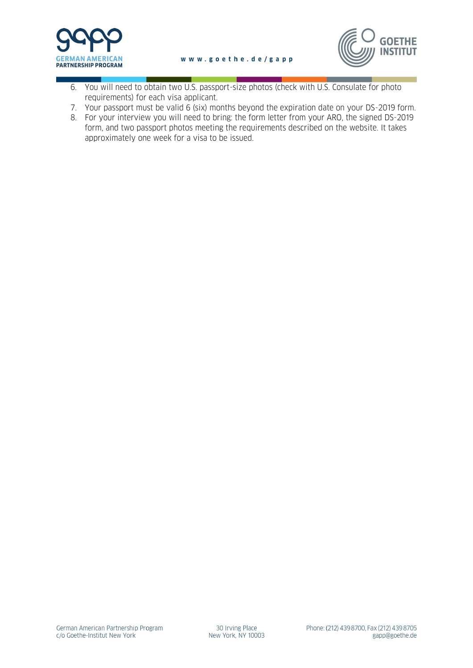



- 6. You will need to obtain two U.S. passport-size photos (check with U.S. Consulate for photo requirements) for each visa applicant.
- 7. Your passport must be valid 6 (six) months beyond the expiration date on your DS-2019 form.
- 8. For your interview you will need to bring: the form letter from your ARO, the signed DS-2019 form, and two passport photos meeting the requirements described on the website. It takes approximately one week for a visa to be issued.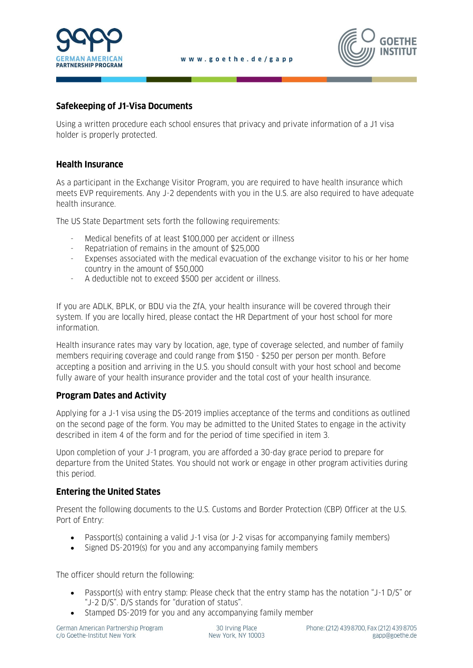



### **Safekeeping of J1-Visa Documents**

Using a written procedure each school ensures that privacy and private information of a J1 visa holder is properly protected.

### **Health Insurance**

As a participant in the Exchange Visitor Program, you are required to have health insurance which meets EVP requirements. Any J-2 dependents with you in the U.S. are also required to have adequate health insurance.

The US State Department sets forth the following requirements:

- Medical benefits of at least \$100,000 per accident or illness
- Repatriation of remains in the amount of \$25,000
- Expenses associated with the medical evacuation of the exchange visitor to his or her home country in the amount of \$50,000
- A deductible not to exceed \$500 per accident or illness.

If you are ADLK, BPLK, or BDU via the ZfA, your health insurance will be covered through their system. If you are locally hired, please contact the HR Department of your host school for more information.

Health insurance rates may vary by location, age, type of coverage selected, and number of family members requiring coverage and could range from \$150 - \$250 per person per month. Before accepting a position and arriving in the U.S. you should consult with your host school and become fully aware of your health insurance provider and the total cost of your health insurance.

### **Program Dates and Activity**

Applying for a J-1 visa using the DS-2019 implies acceptance of the terms and conditions as outlined on the second page of the form. You may be admitted to the United States to engage in the activity described in item 4 of the form and for the period of time specified in item 3.

Upon completion of your J-1 program, you are afforded a 30-day grace period to prepare for departure from the United States. You should not work or engage in other program activities during this period.

### **Entering the United States**

Present the following documents to the U.S. Customs and Border Protection (CBP) Officer at the U.S. Port of Entry:

- Passport(s) containing a valid J-1 visa (or J-2 visas for accompanying family members)
- Signed DS-2019(s) for you and any accompanying family members

The officer should return the following:

- Passport(s) with entry stamp: Please check that the entry stamp has the notation "J-1 D/S" or "J-2 D/S". D/S stands for "duration of status".
- Stamped DS-2019 for you and any accompanying family member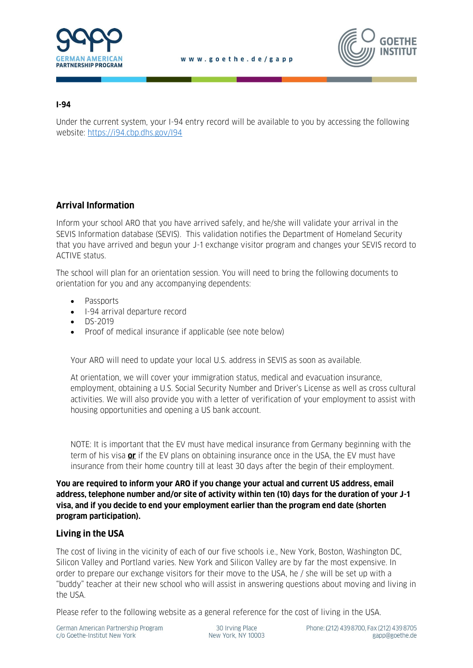



#### **I-94**

Under the current system, your I-94 entry record will be available to you by accessing the following website:<https://i94.cbp.dhs.gov/I94>

# **Arrival Information**

Inform your school ARO that you have arrived safely, and he/she will validate your arrival in the SEVIS Information database (SEVIS). This validation notifies the Department of Homeland Security that you have arrived and begun your J-1 exchange visitor program and changes your SEVIS record to ACTIVE status.

The school will plan for an orientation session. You will need to bring the following documents to orientation for you and any accompanying dependents:

- Passports
- I-94 arrival departure record
- DS-2019
- Proof of medical insurance if applicable (see note below)

Your ARO will need to update your local U.S. address in SEVIS as soon as available.

At orientation, we will cover your immigration status, medical and evacuation insurance, employment, obtaining a U.S. Social Security Number and Driver's License as well as cross cultural activities. We will also provide you with a letter of verification of your employment to assist with housing opportunities and opening a US bank account.

NOTE: It is important that the EV must have medical insurance from Germany beginning with the term of his visa **or** if the EV plans on obtaining insurance once in the USA, the EV must have insurance from their home country till at least 30 days after the begin of their employment.

**You are required to inform your ARO if you change your actual and current US address, email address, telephone number and/or site of activity within ten (10) days for the duration of your J-1 visa, and if you decide to end your employment earlier than the program end date (shorten program participation).** 

# **Living in the USA**

The cost of living in the vicinity of each of our five schools i.e., New York, Boston, Washington DC, Silicon Valley and Portland varies. New York and Silicon Valley are by far the most expensive. In order to prepare our exchange visitors for their move to the USA, he / she will be set up with a "buddy" teacher at their new school who will assist in answering questions about moving and living in the USA.

Please refer to the following website as a general reference for the cost of living in the USA.